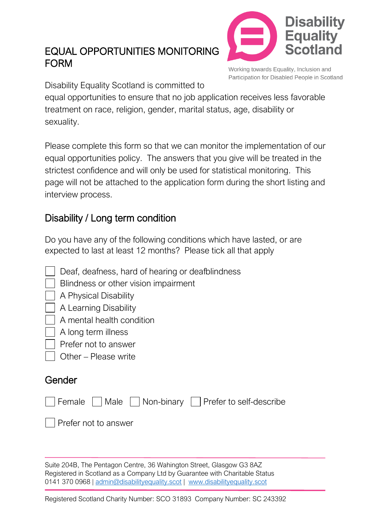# EQUAL OPPORTUNITIES MONITORING FORM



Working towards Equality, Inclusion and Participation for Disabled People in Scotland

Disability Equality Scotland is committed to

equal opportunities to ensure that no job application receives less favorable treatment on race, religion, gender, marital status, age, disability or sexuality.

Please complete this form so that we can monitor the implementation of our equal opportunities policy. The answers that you give will be treated in the strictest confidence and will only be used for statistical monitoring. This page will not be attached to the application form during the short listing and interview process.

# Disability / Long term condition

Do you have any of the following conditions which have lasted, or are expected to last at least 12 months? Please tick all that apply

- Deaf, deafness, hard of hearing or deafblindness
- **Blindness or other vision impairment**
- A Physical Disability
- A Learning Disability
- A mental health condition
- A long term illness
- Prefer not to answer
- Other Please write

# Gender

|                              |  | Female     Male     Non-binary     Prefer to self-describe |
|------------------------------|--|------------------------------------------------------------|
| $\vert$ Prefer not to answer |  |                                                            |

Suite 204B, The Pentagon Centre, 36 Wahington Street, Glasgow G3 8AZ Registered in Scotland as a Company Ltd by Guarantee with Charitable Status 0141 370 0968 | [admin@disabilityequality.scot](mailto:admin@disabilityequality.scot) | [www.disabilityequality.scot](http://www.disabilityequality.scot/)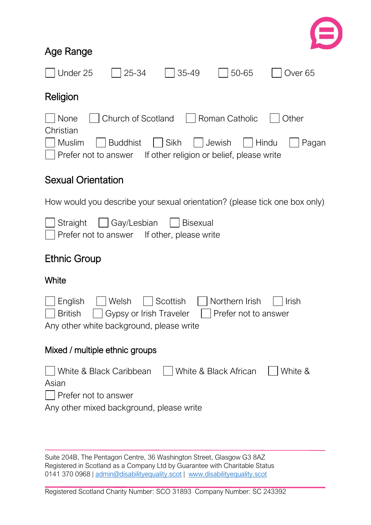

### Age Range

| Under 25<br>25-34<br>35-49<br>50-65<br>Over 65                                                                                                                                                        |  |  |  |  |
|-------------------------------------------------------------------------------------------------------------------------------------------------------------------------------------------------------|--|--|--|--|
| Religion                                                                                                                                                                                              |  |  |  |  |
| Church of Scotland<br>None<br>Roman Catholic<br>Other<br>Christian<br>Sikh<br>Muslim<br><b>Buddhist</b><br>Jewish<br>Hindu<br>Pagan<br>Prefer not to answer If other religion or belief, please write |  |  |  |  |
| <b>Sexual Orientation</b>                                                                                                                                                                             |  |  |  |  |
| How would you describe your sexual orientation? (please tick one box only)                                                                                                                            |  |  |  |  |
| Gay/Lesbian<br>Straight<br><b>Bisexual</b><br>Prefer not to answer If other, please write                                                                                                             |  |  |  |  |
| <b>Ethnic Group</b>                                                                                                                                                                                   |  |  |  |  |
| White                                                                                                                                                                                                 |  |  |  |  |
| Welsh<br>Scottish<br>Northern Irish<br>English<br>Irish<br>Gypsy or Irish Traveler<br><b>British</b><br>Prefer not to answer<br>Any other white background, please write                              |  |  |  |  |
| Mixed / multiple ethnic groups                                                                                                                                                                        |  |  |  |  |
| White & Black Caribbean<br>White & Black African<br>White &<br>Asian<br>Prefer not to answer<br>Any other mixed background, please write                                                              |  |  |  |  |

Suite 204B, The Pentagon Centre, 36 Washington Street, Glasgow G3 8AZ Registered in Scotland as a Company Ltd by Guarantee with Charitable Status 0141 370 0968 | [admin@disabilityequality.scot](mailto:admin@disabilityequality.scot) | [www.disabilityequality.scot](http://www.disabilityequality.scot/)

Registered Scotland Charity Number: SCO 31893 Company Number: SC 243392